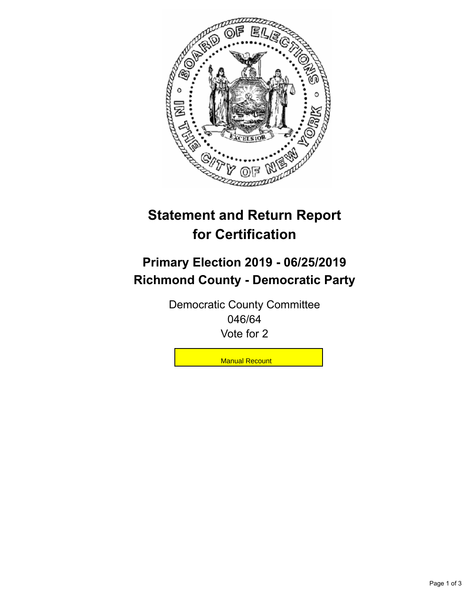

## **Statement and Return Report for Certification**

## **Primary Election 2019 - 06/25/2019 Richmond County - Democratic Party**

Democratic County Committee 046/64 Vote for 2

**Manual Recount**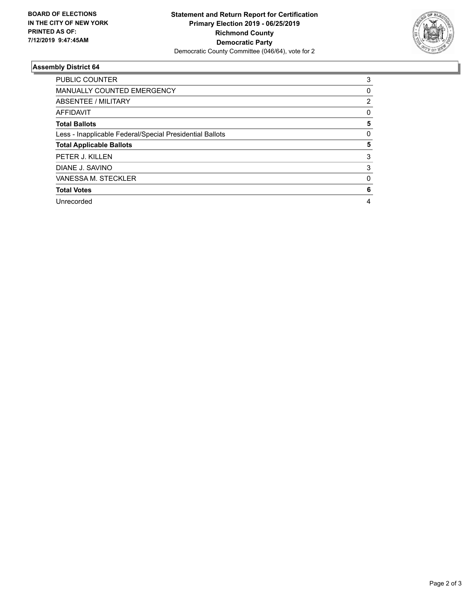

## **Assembly District 64**

| <b>PUBLIC COUNTER</b>                                    | 3 |
|----------------------------------------------------------|---|
| <b>MANUALLY COUNTED EMERGENCY</b>                        | 0 |
| ABSENTEE / MILITARY                                      | 2 |
| AFFIDAVIT                                                | 0 |
| <b>Total Ballots</b>                                     | 5 |
| Less - Inapplicable Federal/Special Presidential Ballots | 0 |
| <b>Total Applicable Ballots</b>                          | 5 |
| PETER J. KILLEN                                          | 3 |
| DIANE J. SAVINO                                          | 3 |
| VANESSA M. STECKLER                                      | 0 |
| <b>Total Votes</b>                                       | 6 |
| Unrecorded                                               | 4 |